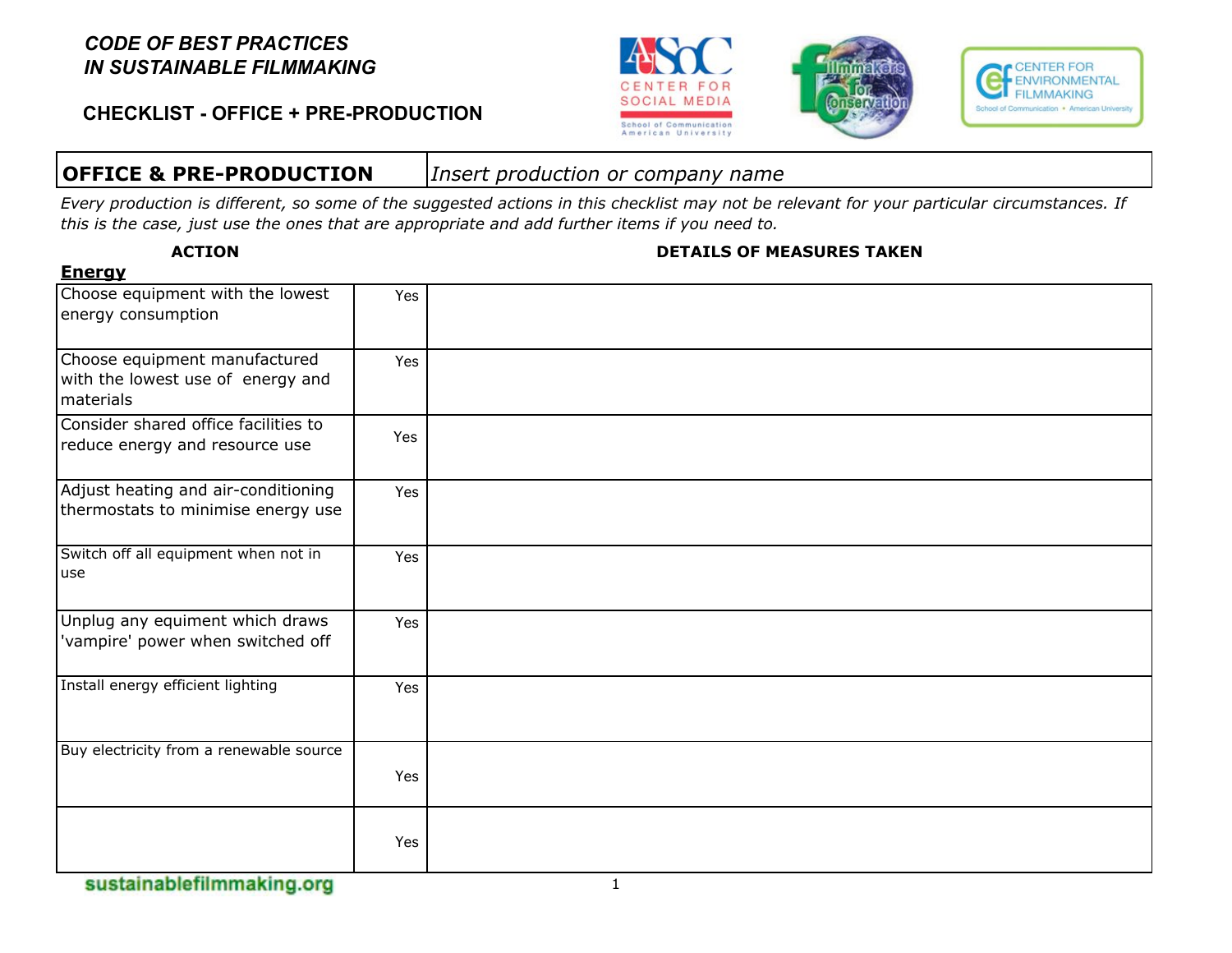**CHECKLIST - OFFICE + PRE-PRODUCTION**







# **OFFICE & PRE-PRODUCTION** *Insert production or company name*

*Every production is different, so some of the suggested actions in this checklist may not be relevant for your particular circumstances. If this is the case, just use the ones that are appropriate and add further items if you need to.*

| <u>спегчу</u>                                                                   |     |              |
|---------------------------------------------------------------------------------|-----|--------------|
| Choose equipment with the lowest<br>energy consumption                          | Yes |              |
| Choose equipment manufactured<br>with the lowest use of energy and<br>materials | Yes |              |
| Consider shared office facilities to<br>reduce energy and resource use          | Yes |              |
| Adjust heating and air-conditioning<br>thermostats to minimise energy use       | Yes |              |
| Switch off all equipment when not in<br>use                                     | Yes |              |
| Unplug any equiment which draws<br>'vampire' power when switched off            | Yes |              |
| Install energy efficient lighting                                               | Yes |              |
| Buy electricity from a renewable source                                         | Yes |              |
|                                                                                 | Yes |              |
| sustainablefilmmaking.org                                                       |     | $\mathbf{1}$ |

**Energy**

#### **ACTION DETAILS OF MEASURES TAKEN**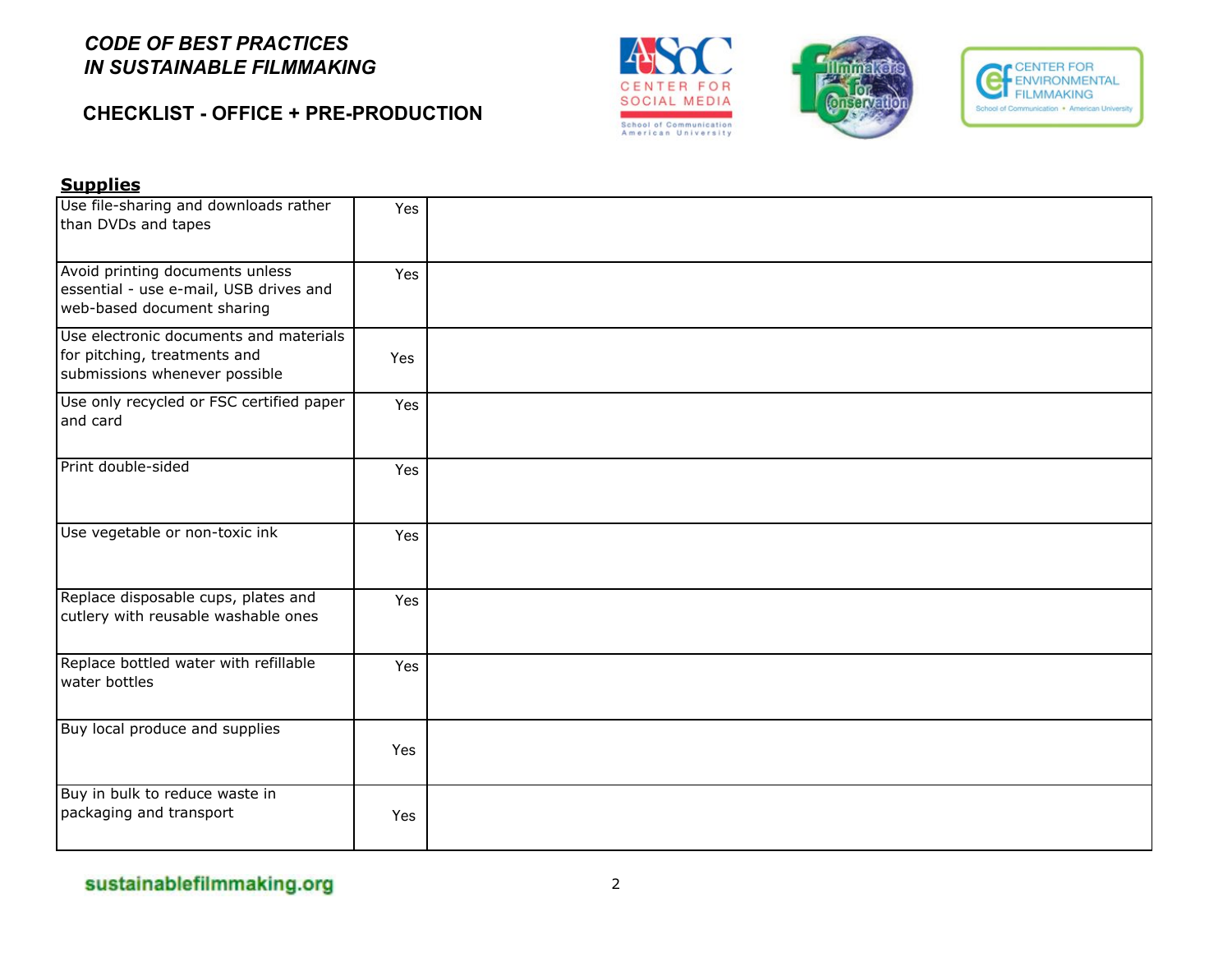## **CHECKLIST - OFFICE + PRE-PRODUCTION**







#### **Supplies**

| Use file-sharing and downloads rather<br>than DVDs and tapes                                            | Yes |  |
|---------------------------------------------------------------------------------------------------------|-----|--|
| Avoid printing documents unless<br>essential - use e-mail, USB drives and<br>web-based document sharing | Yes |  |
| Use electronic documents and materials<br>for pitching, treatments and<br>submissions whenever possible | Yes |  |
| Use only recycled or FSC certified paper<br>and card                                                    | Yes |  |
| Print double-sided                                                                                      | Yes |  |
| Use vegetable or non-toxic ink                                                                          | Yes |  |
| Replace disposable cups, plates and<br>cutlery with reusable washable ones                              | Yes |  |
| Replace bottled water with refillable<br>water bottles                                                  | Yes |  |
| Buy local produce and supplies                                                                          | Yes |  |
| Buy in bulk to reduce waste in<br>packaging and transport                                               | Yes |  |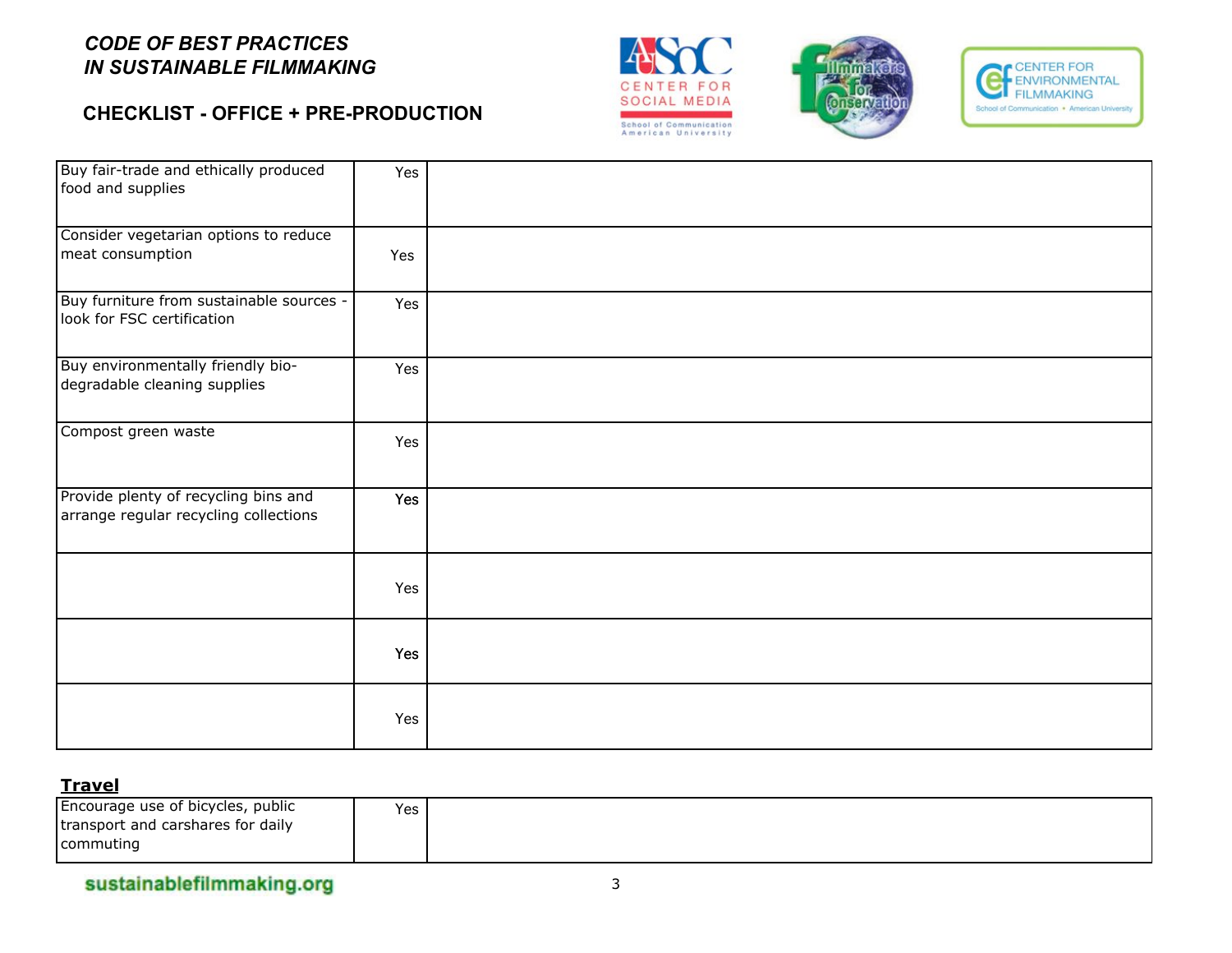## **CHECKLIST - OFFICE + PRE-PRODUCTION**







| Buy fair-trade and ethically produced<br>food and supplies                    | Yes |  |
|-------------------------------------------------------------------------------|-----|--|
| Consider vegetarian options to reduce<br>meat consumption                     | Yes |  |
| Buy furniture from sustainable sources -<br>look for FSC certification        | Yes |  |
| Buy environmentally friendly bio-<br>degradable cleaning supplies             | Yes |  |
| Compost green waste                                                           | Yes |  |
| Provide plenty of recycling bins and<br>arrange regular recycling collections | Yes |  |
|                                                                               | Yes |  |
|                                                                               | Yes |  |
|                                                                               | Yes |  |

#### **Travel**

| Encourage use of bicycles, public  | Yes |
|------------------------------------|-----|
| Itransport and carshares for daily |     |
| commuting                          |     |

sustainablefilmmaking.org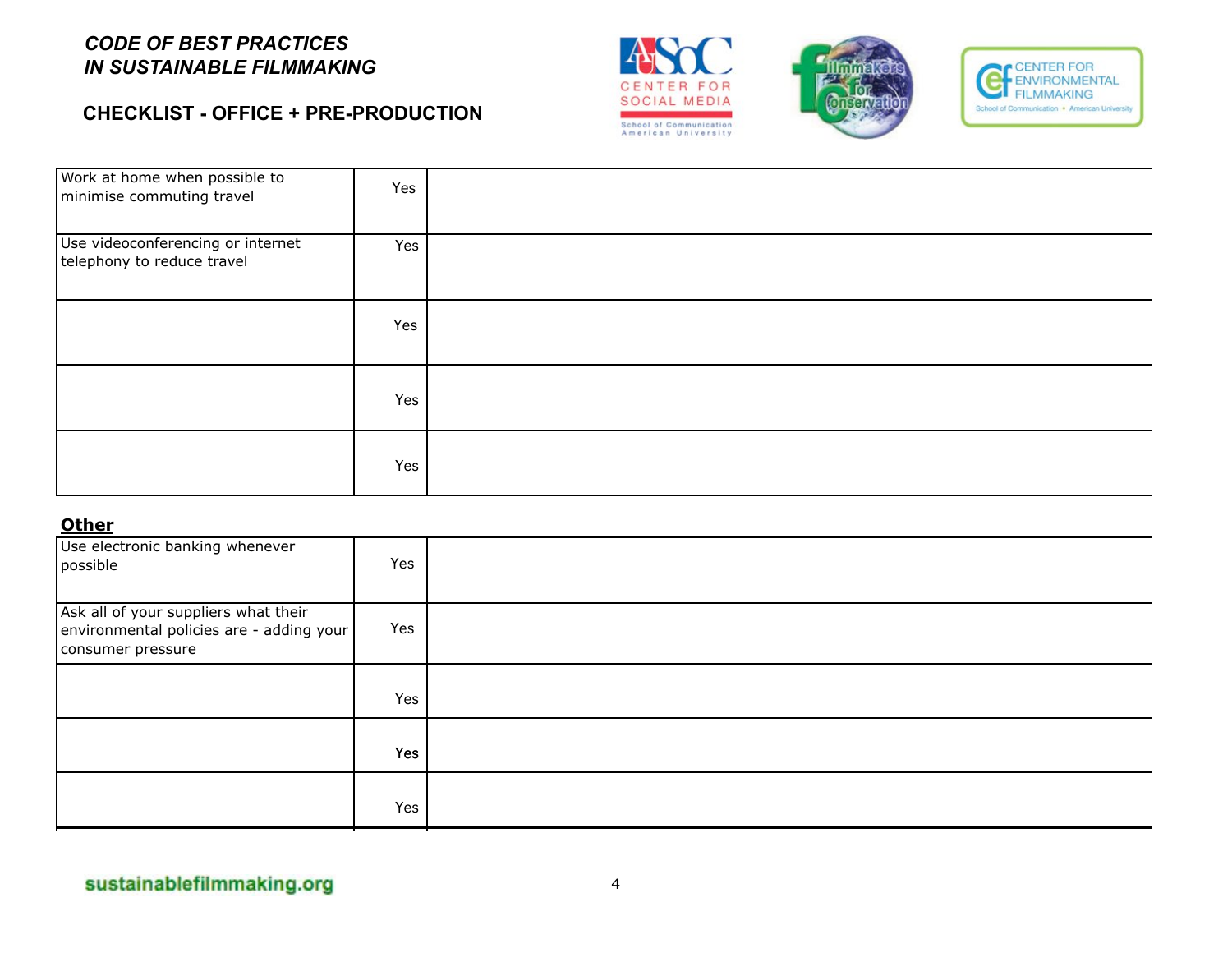## **CHECKLIST - OFFICE + PRE-PRODUCTION**







| Work at home when possible to<br>minimise commuting travel      | Yes |  |
|-----------------------------------------------------------------|-----|--|
| Use videoconferencing or internet<br>telephony to reduce travel | Yes |  |
|                                                                 | Yes |  |
|                                                                 | Yes |  |
|                                                                 | Yes |  |

#### **Other**

| Use electronic banking whenever<br>possible                                                           | Yes |  |
|-------------------------------------------------------------------------------------------------------|-----|--|
| Ask all of your suppliers what their<br>environmental policies are - adding your<br>consumer pressure | Yes |  |
|                                                                                                       | Yes |  |
|                                                                                                       | Yes |  |
|                                                                                                       | Yes |  |